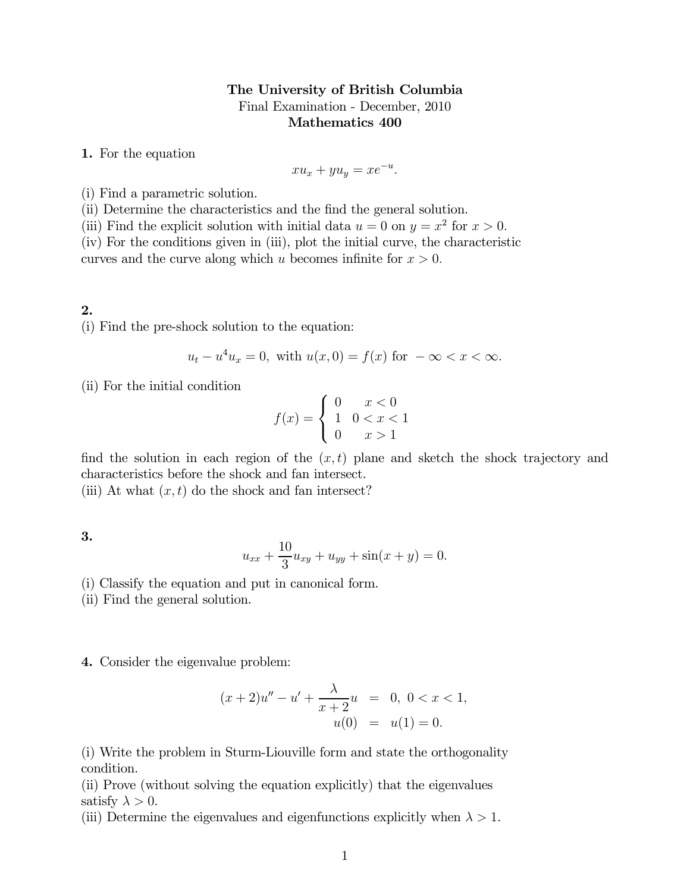## The University of British Columbia Final Examination - December, 2010 Mathematics 400

1. For the equation

$$
xu_x + yu_y = xe^{-u}.
$$

(i) Find a parametric solution.

(ii) Determine the characteristics and the find the general solution.

(iii) Find the explicit solution with initial data  $u = 0$  on  $y = x^2$  for  $x > 0$ .

(iv) For the conditions given in (iii), plot the initial curve, the characteristic

curves and the curve along which  $u$  becomes infinite for  $x > 0$ .

## 2.

(i) Find the pre-shock solution to the equation:

$$
u_t - u^4 u_x = 0
$$
, with  $u(x, 0) = f(x)$  for  $-\infty < x < \infty$ .

(ii) For the initial condition

$$
f(x) = \begin{cases} 0 & x < 0 \\ 1 & 0 < x < 1 \\ 0 & x > 1 \end{cases}
$$

find the solution in each region of the  $(x, t)$  plane and sketch the shock trajectory and characteristics before the shock and fan intersect.

(iii) At what  $(x, t)$  do the shock and fan intersect?

3.

$$
u_{xx} + \frac{10}{3}u_{xy} + u_{yy} + \sin(x+y) = 0.
$$

(i) Classify the equation and put in canonical form.

(ii) Find the general solution.

4. Consider the eigenvalue problem:

$$
(x+2)u'' - u' + \frac{\lambda}{x+2}u = 0, \ 0 < x < 1,
$$
  

$$
u(0) = u(1) = 0.
$$

(i) Write the problem in Sturm-Liouville form and state the orthogonality condition.

(ii) Prove (without solving the equation explicitly) that the eigenvalues satisfy  $\lambda > 0$ .

(iii) Determine the eigenvalues and eigenfunctions explicitly when  $\lambda > 1$ .